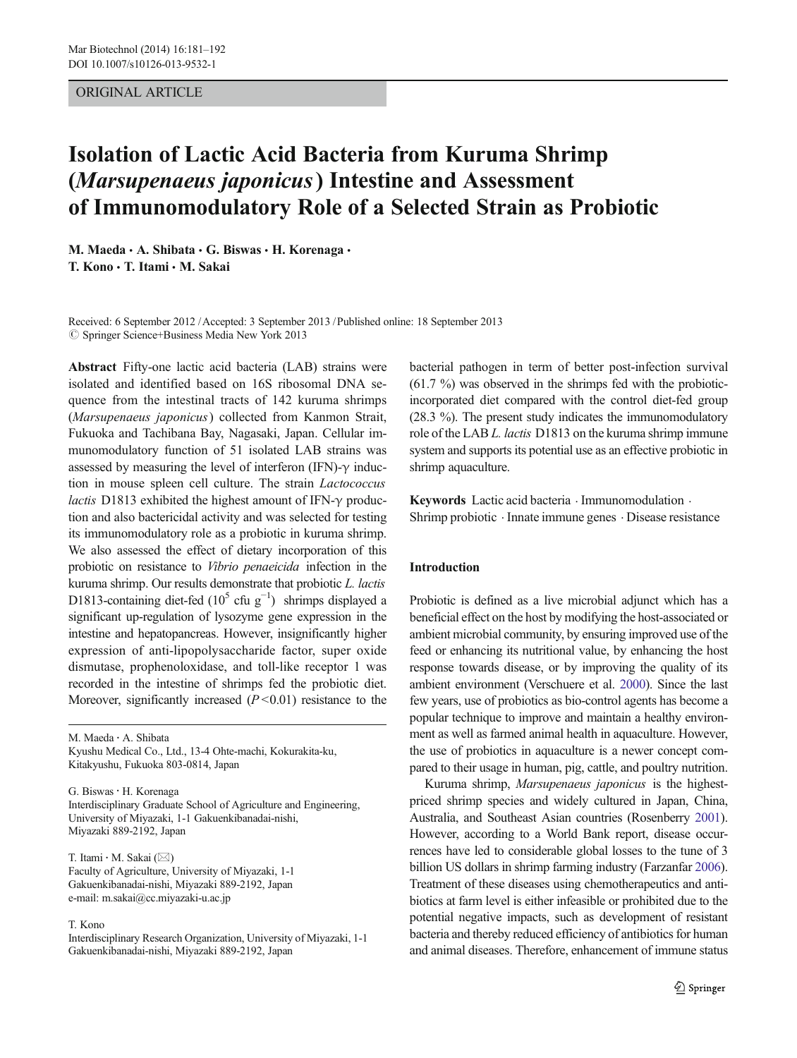# ORIGINAL ARTICLE

# Isolation of Lactic Acid Bacteria from Kuruma Shrimp (Marsupenaeus japonicus) Intestine and Assessment of Immunomodulatory Role of a Selected Strain as Probiotic

M. Maeda · A. Shibata · G. Biswas · H. Korenaga · T. Kono & T. Itami & M. Sakai

Received: 6 September 2012 /Accepted: 3 September 2013 /Published online: 18 September 2013  $\circled{c}$  Springer Science+Business Media New York 2013

Abstract Fifty-one lactic acid bacteria (LAB) strains were isolated and identified based on 16S ribosomal DNA sequence from the intestinal tracts of 142 kuruma shrimps (Marsupenaeus japonicus) collected from Kanmon Strait, Fukuoka and Tachibana Bay, Nagasaki, Japan. Cellular immunomodulatory function of 51 isolated LAB strains was assessed by measuring the level of interferon (IFN)- $\gamma$  induction in mouse spleen cell culture. The strain Lactococcus *lactis* D1813 exhibited the highest amount of IFN- $\gamma$  production and also bactericidal activity and was selected for testing its immunomodulatory role as a probiotic in kuruma shrimp. We also assessed the effect of dietary incorporation of this probiotic on resistance to Vibrio penaeicida infection in the kuruma shrimp. Our results demonstrate that probiotic L. lactis D1813-containing diet-fed (10<sup>5</sup> cfu  $g^{-1}$ ) shrimps displayed a significant up-regulation of lysozyme gene expression in the intestine and hepatopancreas. However, insignificantly higher expression of anti-lipopolysaccharide factor, super oxide dismutase, prophenoloxidase, and toll-like receptor 1 was recorded in the intestine of shrimps fed the probiotic diet. Moreover, significantly increased  $(P<0.01)$  resistance to the

M. Maeda : A. Shibata Kyushu Medical Co., Ltd., 13-4 Ohte-machi, Kokurakita-ku, Kitakyushu, Fukuoka 803-0814, Japan

G. Biswas: H. Korenaga

Interdisciplinary Graduate School of Agriculture and Engineering, University of Miyazaki, 1-1 Gakuenkibanadai-nishi, Miyazaki 889-2192, Japan

T. Itami  $\cdot$  M. Sakai ( $\boxtimes$ ) Faculty of Agriculture, University of Miyazaki, 1-1 Gakuenkibanadai-nishi, Miyazaki 889-2192, Japan e-mail: m.sakai@cc.miyazaki-u.ac.jp

## T. Kono

Interdisciplinary Research Organization, University of Miyazaki, 1-1 Gakuenkibanadai-nishi, Miyazaki 889-2192, Japan

bacterial pathogen in term of better post-infection survival  $(61.7 \%)$  was observed in the shrimps fed with the probioticincorporated diet compared with the control diet-fed group (28.3 %). The present study indicates the immunomodulatory role of the LAB L. lactis D1813 on the kuruma shrimp immune system and supports its potential use as an effective probiotic in shrimp aquaculture.

Keywords Lactic acid bacteria · Immunomodulation · Shrimp probiotic . Innate immune genes . Disease resistance

# Introduction

Probiotic is defined as a live microbial adjunct which has a beneficial effect on the host by modifying the host-associated or ambient microbial community, by ensuring improved use of the feed or enhancing its nutritional value, by enhancing the host response towards disease, or by improving the quality of its ambient environment (Verschuere et al. [2000\)](#page-11-0). Since the last few years, use of probiotics as bio-control agents has become a popular technique to improve and maintain a healthy environment as well as farmed animal health in aquaculture. However, the use of probiotics in aquaculture is a newer concept compared to their usage in human, pig, cattle, and poultry nutrition.

Kuruma shrimp, Marsupenaeus japonicus is the highestpriced shrimp species and widely cultured in Japan, China, Australia, and Southeast Asian countries (Rosenberry [2001\)](#page-11-0). However, according to a World Bank report, disease occurrences have led to considerable global losses to the tune of 3 billion US dollars in shrimp farming industry (Farzanfar [2006\)](#page-10-0). Treatment of these diseases using chemotherapeutics and antibiotics at farm level is either infeasible or prohibited due to the potential negative impacts, such as development of resistant bacteria and thereby reduced efficiency of antibiotics for human and animal diseases. Therefore, enhancement of immune status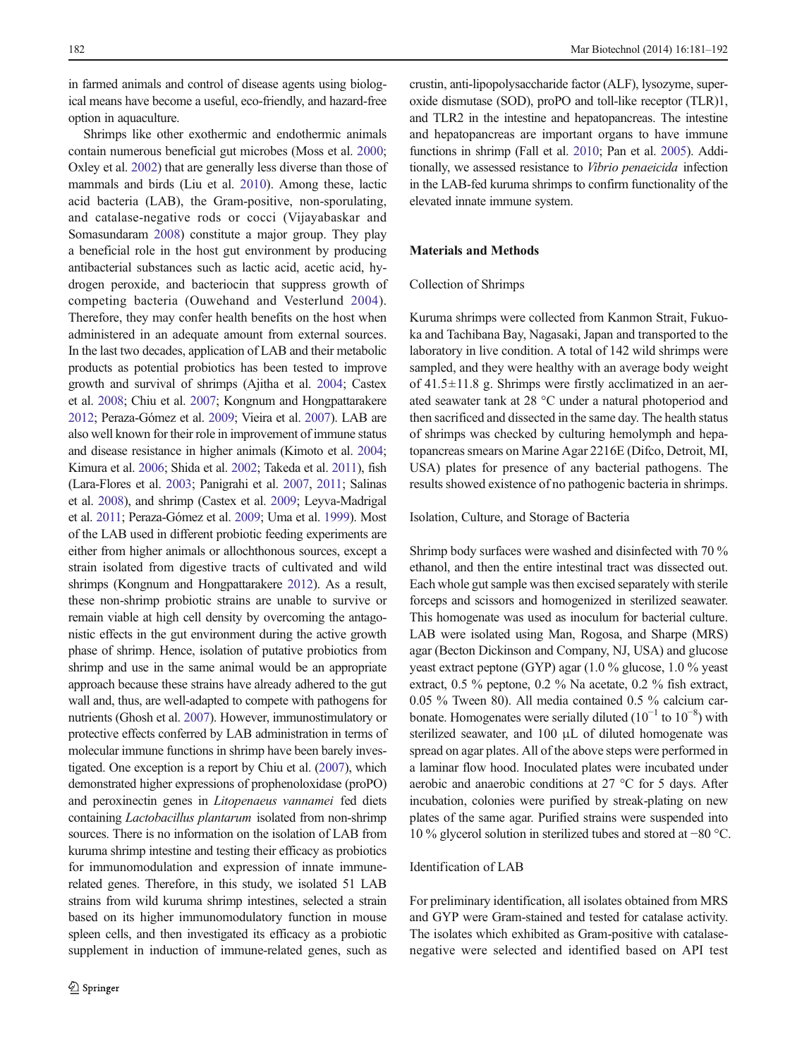in farmed animals and control of disease agents using biological means have become a useful, eco-friendly, and hazard-free option in aquaculture.

Shrimps like other exothermic and endothermic animals contain numerous beneficial gut microbes (Moss et al. [2000](#page-10-0); Oxley et al. [2002\)](#page-10-0) that are generally less diverse than those of mammals and birds (Liu et al. [2010\)](#page-10-0). Among these, lactic acid bacteria (LAB), the Gram-positive, non-sporulating, and catalase-negative rods or cocci (Vijayabaskar and Somasundaram [2008\)](#page-11-0) constitute a major group. They play a beneficial role in the host gut environment by producing antibacterial substances such as lactic acid, acetic acid, hydrogen peroxide, and bacteriocin that suppress growth of competing bacteria (Ouwehand and Vesterlund [2004](#page-10-0)). Therefore, they may confer health benefits on the host when administered in an adequate amount from external sources. In the last two decades, application of LAB and their metabolic products as potential probiotics has been tested to improve growth and survival of shrimps (Ajitha et al. [2004](#page-9-0); Castex et al. [2008](#page-10-0); Chiu et al. [2007](#page-10-0); Kongnum and Hongpattarakere [2012](#page-10-0); Peraza-Gómez et al. [2009](#page-11-0); Vieira et al. [2007](#page-11-0)). LAB are also well known for their role in improvement of immune status and disease resistance in higher animals (Kimoto et al. [2004](#page-10-0); Kimura et al. [2006;](#page-10-0) Shida et al. [2002](#page-11-0); Takeda et al. [2011](#page-11-0)), fish (Lara-Flores et al. [2003](#page-10-0); Panigrahi et al. [2007](#page-10-0), [2011;](#page-11-0) Salinas et al. [2008\)](#page-11-0), and shrimp (Castex et al. [2009;](#page-10-0) Leyva-Madrigal et al. [2011;](#page-10-0) Peraza-Gómez et al. [2009;](#page-11-0) Uma et al. [1999](#page-11-0)). Most of the LAB used in different probiotic feeding experiments are either from higher animals or allochthonous sources, except a strain isolated from digestive tracts of cultivated and wild shrimps (Kongnum and Hongpattarakere [2012](#page-10-0)). As a result, these non-shrimp probiotic strains are unable to survive or remain viable at high cell density by overcoming the antagonistic effects in the gut environment during the active growth phase of shrimp. Hence, isolation of putative probiotics from shrimp and use in the same animal would be an appropriate approach because these strains have already adhered to the gut wall and, thus, are well-adapted to compete with pathogens for nutrients (Ghosh et al. [2007\)](#page-10-0). However, immunostimulatory or protective effects conferred by LAB administration in terms of molecular immune functions in shrimp have been barely investigated. One exception is a report by Chiu et al. [\(2007\)](#page-10-0), which demonstrated higher expressions of prophenoloxidase (proPO) and peroxinectin genes in Litopenaeus vannamei fed diets containing Lactobacillus plantarum isolated from non-shrimp sources. There is no information on the isolation of LAB from kuruma shrimp intestine and testing their efficacy as probiotics for immunomodulation and expression of innate immunerelated genes. Therefore, in this study, we isolated 51 LAB strains from wild kuruma shrimp intestines, selected a strain based on its higher immunomodulatory function in mouse spleen cells, and then investigated its efficacy as a probiotic supplement in induction of immune-related genes, such as

crustin, anti-lipopolysaccharide factor (ALF), lysozyme, superoxide dismutase (SOD), proPO and toll-like receptor (TLR)1, and TLR2 in the intestine and hepatopancreas. The intestine and hepatopancreas are important organs to have immune functions in shrimp (Fall et al. [2010;](#page-10-0) Pan et al. [2005](#page-10-0)). Additionally, we assessed resistance to Vibrio penaeicida infection in the LAB-fed kuruma shrimps to confirm functionality of the elevated innate immune system.

# Materials and Methods

#### Collection of Shrimps

Kuruma shrimps were collected from Kanmon Strait, Fukuoka and Tachibana Bay, Nagasaki, Japan and transported to the laboratory in live condition. A total of 142 wild shrimps were sampled, and they were healthy with an average body weight of  $41.5 \pm 11.8$  g. Shrimps were firstly acclimatized in an aerated seawater tank at 28 °C under a natural photoperiod and then sacrificed and dissected in the same day. The health status of shrimps was checked by culturing hemolymph and hepatopancreas smears on Marine Agar 2216E (Difco, Detroit, MI, USA) plates for presence of any bacterial pathogens. The results showed existence of no pathogenic bacteria in shrimps.

#### Isolation, Culture, and Storage of Bacteria

Shrimp body surfaces were washed and disinfected with 70 % ethanol, and then the entire intestinal tract was dissected out. Each whole gut sample was then excised separately with sterile forceps and scissors and homogenized in sterilized seawater. This homogenate was used as inoculum for bacterial culture. LAB were isolated using Man, Rogosa, and Sharpe (MRS) agar (Becton Dickinson and Company, NJ, USA) and glucose yeast extract peptone (GYP) agar (1.0 % glucose, 1.0 % yeast extract, 0.5 % peptone, 0.2 % Na acetate, 0.2 % fish extract, 0.05 % Tween 80). All media contained 0.5 % calcium carbonate. Homogenates were serially diluted ( $10^{-1}$  to  $10^{-8}$ ) with sterilized seawater, and 100 μL of diluted homogenate was spread on agar plates. All of the above steps were performed in a laminar flow hood. Inoculated plates were incubated under aerobic and anaerobic conditions at 27 °C for 5 days. After incubation, colonies were purified by streak-plating on new plates of the same agar. Purified strains were suspended into 10 % glycerol solution in sterilized tubes and stored at −80 °C.

## Identification of LAB

For preliminary identification, all isolates obtained from MRS and GYP were Gram-stained and tested for catalase activity. The isolates which exhibited as Gram-positive with catalasenegative were selected and identified based on API test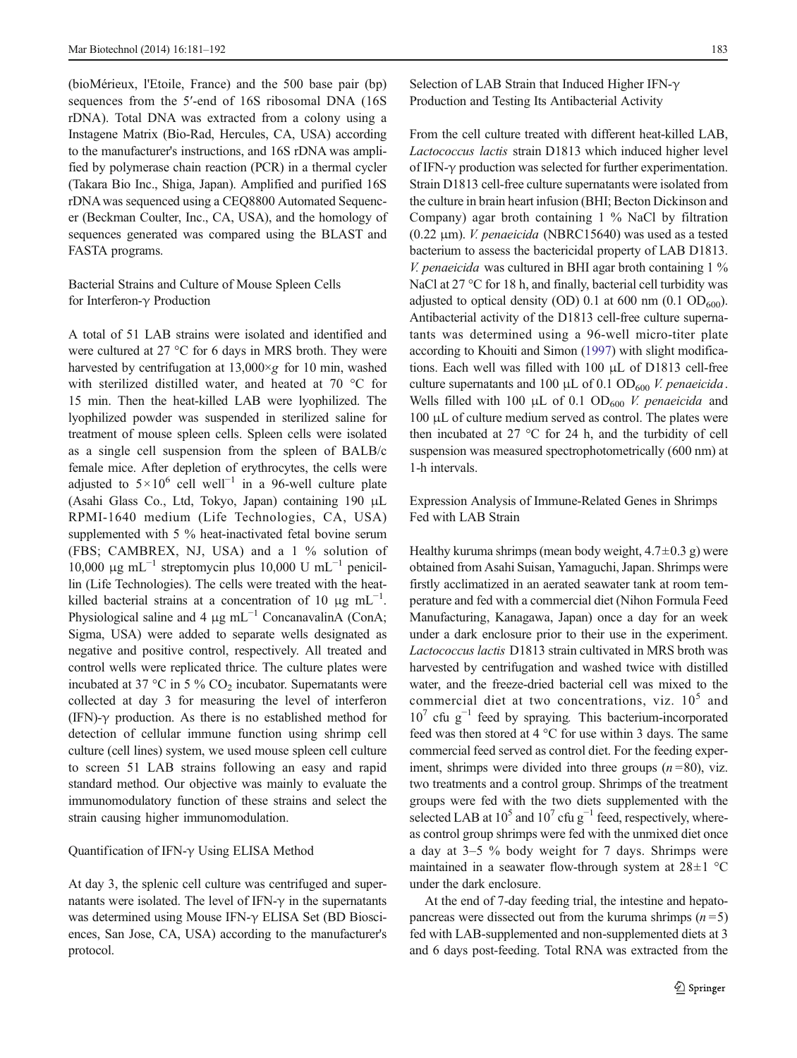(bioMérieux, l'Etoile, France) and the 500 base pair (bp) sequences from the 5′-end of 16S ribosomal DNA (16S rDNA). Total DNA was extracted from a colony using a Instagene Matrix (Bio-Rad, Hercules, CA, USA) according to the manufacturer's instructions, and 16S rDNA was amplified by polymerase chain reaction (PCR) in a thermal cycler (Takara Bio Inc., Shiga, Japan). Amplified and purified 16S rDNA was sequenced using a CEQ8800 Automated Sequencer (Beckman Coulter, Inc., CA, USA), and the homology of sequences generated was compared using the BLAST and FASTA programs.

Bacterial Strains and Culture of Mouse Spleen Cells for Interferon-γ Production

A total of 51 LAB strains were isolated and identified and were cultured at 27 °C for 6 days in MRS broth. They were harvested by centrifugation at  $13,000 \times g$  for 10 min, washed with sterilized distilled water, and heated at 70 °C for 15 min. Then the heat-killed LAB were lyophilized. The lyophilized powder was suspended in sterilized saline for treatment of mouse spleen cells. Spleen cells were isolated as a single cell suspension from the spleen of BALB/c female mice. After depletion of erythrocytes, the cells were adjusted to  $5\times10^6$  cell well<sup>-1</sup> in a 96-well culture plate (Asahi Glass Co., Ltd, Tokyo, Japan) containing 190 μL RPMI-1640 medium (Life Technologies, CA, USA) supplemented with 5 % heat-inactivated fetal bovine serum (FBS; CAMBREX, NJ, USA) and a 1 % solution of 10,000 μg mL<sup>-1</sup> streptomycin plus 10,000 U mL<sup>-1</sup> penicillin (Life Technologies). The cells were treated with the heatkilled bacterial strains at a concentration of 10  $\mu$ g mL<sup>-1</sup>. Physiological saline and 4  $\mu$ g mL<sup>-1</sup> ConcanavalinA (ConA; Sigma, USA) were added to separate wells designated as negative and positive control, respectively. All treated and control wells were replicated thrice. The culture plates were incubated at 37 °C in 5 %  $CO<sub>2</sub>$  incubator. Supernatants were collected at day 3 for measuring the level of interferon (IFN)- $\gamma$  production. As there is no established method for detection of cellular immune function using shrimp cell culture (cell lines) system, we used mouse spleen cell culture to screen 51 LAB strains following an easy and rapid standard method. Our objective was mainly to evaluate the immunomodulatory function of these strains and select the strain causing higher immunomodulation.

### Quantification of IFN-γ Using ELISA Method

At day 3, the splenic cell culture was centrifuged and supernatants were isolated. The level of IFN- $\gamma$  in the supernatants was determined using Mouse IFN-γ ELISA Set (BD Biosciences, San Jose, CA, USA) according to the manufacturer's protocol.

Selection of LAB Strain that Induced Higher IFN-γ Production and Testing Its Antibacterial Activity

From the cell culture treated with different heat-killed LAB, Lactococcus lactis strain D1813 which induced higher level of IFN-γ production was selected for further experimentation. Strain D1813 cell-free culture supernatants were isolated from the culture in brain heart infusion (BHI; Becton Dickinson and Company) agar broth containing 1 % NaCl by filtration (0.22 μm). V. penaeicida (NBRC15640) was used as a tested bacterium to assess the bactericidal property of LAB D1813. V. penaeicida was cultured in BHI agar broth containing 1 % NaCl at 27 °C for 18 h, and finally, bacterial cell turbidity was adjusted to optical density (OD) 0.1 at 600 nm (0.1  $OD<sub>600</sub>$ ). Antibacterial activity of the D1813 cell-free culture supernatants was determined using a 96-well micro-titer plate according to Khouiti and Simon [\(1997](#page-10-0)) with slight modifications. Each well was filled with 100 μL of D1813 cell-free culture supernatants and 100 μL of 0.1 OD<sub>600</sub> V. penaeicida. Wells filled with 100 μL of 0.1 OD<sub>600</sub> V. penaeicida and 100 μL of culture medium served as control. The plates were then incubated at 27 °C for 24 h, and the turbidity of cell suspension was measured spectrophotometrically (600 nm) at 1-h intervals.

Expression Analysis of Immune-Related Genes in Shrimps Fed with LAB Strain

Healthy kuruma shrimps (mean body weight,  $4.7\pm0.3$  g) were obtained from Asahi Suisan, Yamaguchi, Japan. Shrimps were firstly acclimatized in an aerated seawater tank at room temperature and fed with a commercial diet (Nihon Formula Feed Manufacturing, Kanagawa, Japan) once a day for an week under a dark enclosure prior to their use in the experiment. Lactococcus lactis D1813 strain cultivated in MRS broth was harvested by centrifugation and washed twice with distilled water, and the freeze-dried bacterial cell was mixed to the commercial diet at two concentrations, viz.  $10^5$  and  $10^7$  cfu g<sup>-1</sup> feed by spraying. This bacterium-incorporated feed was then stored at 4 °C for use within 3 days. The same commercial feed served as control diet. For the feeding experiment, shrimps were divided into three groups  $(n=80)$ , viz. two treatments and a control group. Shrimps of the treatment groups were fed with the two diets supplemented with the selected LAB at  $10^5$  and  $10^7$  cfu g<sup>-1</sup> feed, respectively, whereas control group shrimps were fed with the unmixed diet once a day at 3–5 % body weight for 7 days. Shrimps were maintained in a seawater flow-through system at  $28\pm1$  °C under the dark enclosure.

At the end of 7-day feeding trial, the intestine and hepatopancreas were dissected out from the kuruma shrimps  $(n=5)$ fed with LAB-supplemented and non-supplemented diets at 3 and 6 days post-feeding. Total RNA was extracted from the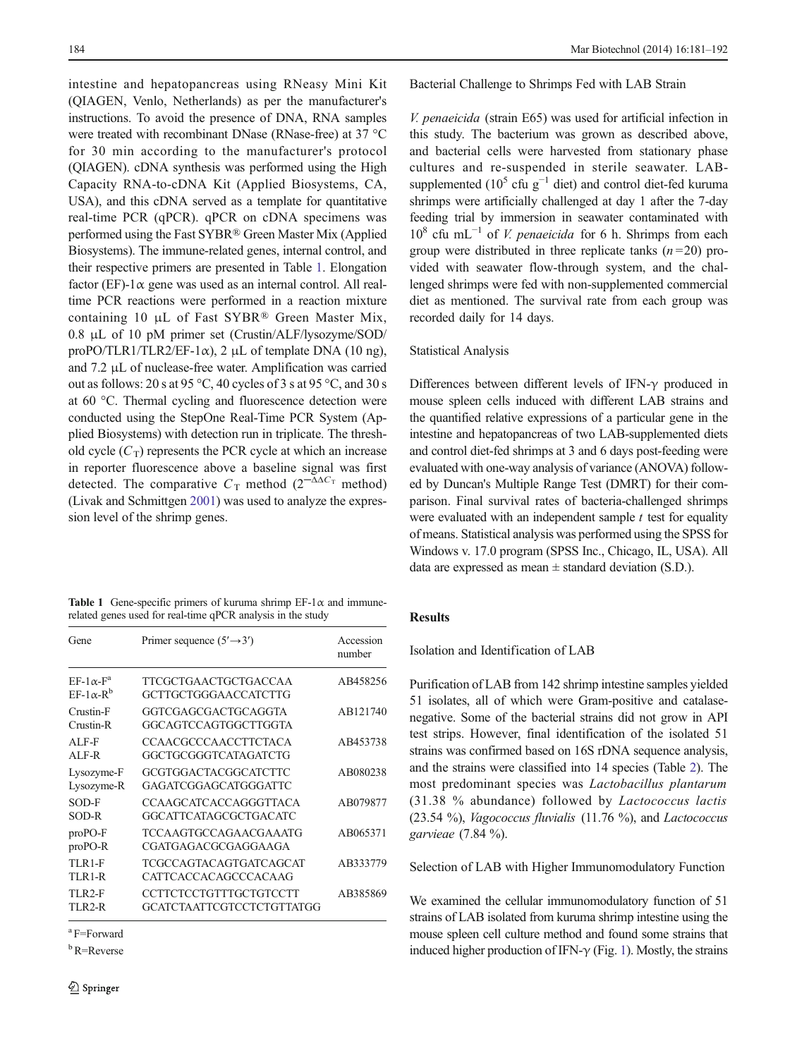intestine and hepatopancreas using RNeasy Mini Kit (QIAGEN, Venlo, Netherlands) as per the manufacturer's instructions. To avoid the presence of DNA, RNA samples were treated with recombinant DNase (RNase-free) at 37 °C for 30 min according to the manufacturer's protocol (QIAGEN). cDNA synthesis was performed using the High Capacity RNA-to-cDNA Kit (Applied Biosystems, CA, USA), and this cDNA served as a template for quantitative real-time PCR (qPCR). qPCR on cDNA specimens was performed using the Fast SYBR® Green Master Mix (Applied Biosystems). The immune-related genes, internal control, and their respective primers are presented in Table 1. Elongation factor (EF)-1 $\alpha$  gene was used as an internal control. All realtime PCR reactions were performed in a reaction mixture containing 10 μL of Fast SYBR® Green Master Mix, 0.8 μL of 10 pM primer set (Crustin/ALF/lysozyme/SOD/ proPO/TLR1/TLR2/EF-1 $\alpha$ ), 2 μL of template DNA (10 ng), and 7.2 μL of nuclease-free water. Amplification was carried out as follows: 20 s at 95 °C, 40 cycles of 3 s at 95 °C, and 30 s at 60 °C. Thermal cycling and fluorescence detection were conducted using the StepOne Real-Time PCR System (Applied Biosystems) with detection run in triplicate. The threshold cycle  $(C_T)$  represents the PCR cycle at which an increase in reporter fluorescence above a baseline signal was first detected. The comparative  $C_T$  method (2<sup> $-\Delta$  $\Delta$  $C_T$ </sup> method) (Livak and Schmittgen [2001\)](#page-10-0) was used to analyze the expression level of the shrimp genes.

| <b>Table 1</b> Gene-specific primers of kuruma shrimp $EF-1\alpha$ and immune- |  |  |
|--------------------------------------------------------------------------------|--|--|
| related genes used for real-time qPCR analysis in the study                    |  |  |

| Gene                                 | Primer sequence $(5' \rightarrow 3')$                | Accession<br>number |
|--------------------------------------|------------------------------------------------------|---------------------|
| $EF-1\alpha-F^a$<br>$EF-1\alpha-R^b$ | TTCGCTGAACTGCTGACCAA<br>GCTTGCTGGGAACCATCTTG         | AB458256            |
| Crustin-F<br>Crustin-R               | GGTCGAGCGACTGCAGGTA<br>GGCAGTCCAGTGGCTTGGTA          | AB121740            |
| $AIF-F$<br>$AIF-R$                   | CCAACGCCCAACCTTCTACA<br>GGCTGCGGGTCATAGATCTG         | AB453738            |
| Lysozyme-F<br>Lysozyme-R             | GCGTGGACTACGGCATCTTC<br>GAGATCGGAGCATGGGATTC         | AB080238            |
| SOD-F<br>SOD-R                       | CCAAGCATCACCAGGGTTACA<br>GGCATTCATAGCGCTGACATC       | AB079877            |
| $proPO-F$<br>$propO-R$               | TCCAAGTGCCAGAACGAAATG<br>CGATGAGACGCGAGGAAGA         | AB065371            |
| $TLR1-F$<br>$TLR1-R$                 | TCGCCAGTACAGTGATCAGCAT<br>CATTCACCACAGCCCACAAG       | AB333779            |
| TLR <sub>2</sub> -F<br>TLR2-R        | CCTTCTCCTGTTTGCTGTCCTT<br>GCATCTA ATTCGTCCTCTGTTATGG | AB385869            |

a F=Forward

**b**<sub>R=Reverse</sub>

Bacterial Challenge to Shrimps Fed with LAB Strain

V. penaeicida (strain E65) was used for artificial infection in this study. The bacterium was grown as described above, and bacterial cells were harvested from stationary phase cultures and re-suspended in sterile seawater. LABsupplemented ( $10^5$  cfu g<sup>-1</sup> diet) and control diet-fed kuruma shrimps were artificially challenged at day 1 after the 7-day feeding trial by immersion in seawater contaminated with  $10^8$  cfu mL<sup>-1</sup> of *V. penaeicida* for 6 h. Shrimps from each group were distributed in three replicate tanks  $(n=20)$  provided with seawater flow-through system, and the challenged shrimps were fed with non-supplemented commercial diet as mentioned. The survival rate from each group was recorded daily for 14 days.

## Statistical Analysis

Differences between different levels of IFN- $\gamma$  produced in mouse spleen cells induced with different LAB strains and the quantified relative expressions of a particular gene in the intestine and hepatopancreas of two LAB-supplemented diets and control diet-fed shrimps at 3 and 6 days post-feeding were evaluated with one-way analysis of variance (ANOVA) followed by Duncan's Multiple Range Test (DMRT) for their comparison. Final survival rates of bacteria-challenged shrimps were evaluated with an independent sample  $t$  test for equality of means. Statistical analysis was performed using the SPSS for Windows v. 17.0 program (SPSS Inc., Chicago, IL, USA). All data are expressed as mean  $\pm$  standard deviation (S.D.).

## **Results**

Isolation and Identification of LAB

Purification of LAB from 142 shrimp intestine samples yielded 51 isolates, all of which were Gram-positive and catalasenegative. Some of the bacterial strains did not grow in API test strips. However, final identification of the isolated 51 strains was confirmed based on 16S rDNA sequence analysis, and the strains were classified into 14 species (Table [2](#page-4-0)). The most predominant species was Lactobacillus plantarum (31.38 % abundance) followed by Lactococcus lactis (23.54 %), Vagococcus fluvialis (11.76 %), and Lactococcus garvieae (7.84 %).

# Selection of LAB with Higher Immunomodulatory Function

We examined the cellular immunomodulatory function of 51 strains of LAB isolated from kuruma shrimp intestine using the mouse spleen cell culture method and found some strains that induced higher production of IFN- $\gamma$  (Fig. [1](#page-5-0)). Mostly, the strains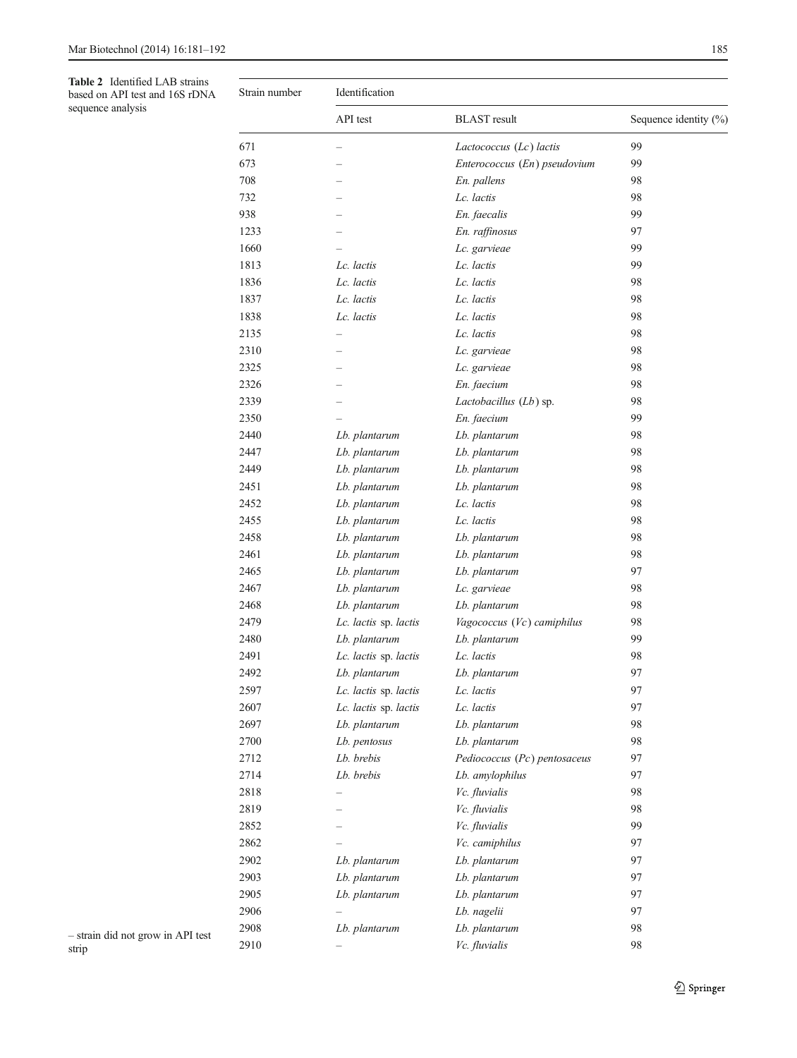<span id="page-4-0"></span>Table 2 Identified LAB strains based on API test and 16S rDNA sequence analysis

| Strain number | Identification        |                              |                           |  |  |
|---------------|-----------------------|------------------------------|---------------------------|--|--|
|               | API test              | <b>BLAST</b> result          | Sequence identity $(\% )$ |  |  |
| 671           |                       | Lactococcus (Lc) lactis      | 99                        |  |  |
| 673           |                       | Enterococcus (En) pseudovium | 99                        |  |  |
| 708           |                       | En. pallens                  | 98                        |  |  |
| 732           |                       | Lc. lactis                   | 98                        |  |  |
| 938           |                       | En. faecalis                 | 99                        |  |  |
| 1233          |                       | En. raffinosus               | 97                        |  |  |
| 1660          |                       | Lc. garvieae                 | 99                        |  |  |
| 1813          | Lc. lactis            | Lc. lactis                   | 99                        |  |  |
| 1836          | Lc. lactis            | Lc. lactis                   | 98                        |  |  |
| 1837          | Lc. lactis            | Lc. lactis                   | 98                        |  |  |
| 1838          | Lc. lactis            | Lc. lactis                   | 98                        |  |  |
| 2135          |                       | Lc. lactis                   | 98                        |  |  |
| 2310          |                       | Lc. garvieae                 | 98                        |  |  |
| 2325          |                       | Lc. garvieae                 | 98                        |  |  |
| 2326          |                       | En. faecium                  | 98                        |  |  |
| 2339          |                       | Lactobacillus (Lb) sp.       | 98                        |  |  |
| 2350          |                       | En. faecium                  | 99                        |  |  |
| 2440          | Lb. plantarum         | Lb. plantarum                | 98                        |  |  |
| 2447          | Lb. plantarum         | Lb. plantarum                | 98                        |  |  |
| 2449          | Lb. plantarum         | Lb. plantarum                | 98                        |  |  |
| 2451          | Lb. plantarum         | Lb. plantarum                | 98                        |  |  |
| 2452          | Lb. plantarum         | Lc. lactis                   | 98                        |  |  |
| 2455          | Lb. plantarum         | Lc. lactis                   | 98                        |  |  |
| 2458          | Lb. plantarum         | Lb. plantarum                | 98                        |  |  |
| 2461          | Lb. plantarum         | Lb. plantarum                | 98                        |  |  |
| 2465          | Lb. plantarum         | Lb. plantarum                | 97                        |  |  |
| 2467          | Lb. plantarum         | Lc. garvieae                 | 98                        |  |  |
| 2468          | Lb. plantarum         | Lb. plantarum                | 98                        |  |  |
| 2479          | Lc. lactis sp. lactis | Vagococcus (Vc) camiphilus   | 98                        |  |  |
| 2480          | Lb. plantarum         | Lb. plantarum                | 99                        |  |  |
| 2491          | Lc. lactis sp. lactis | Lc. lactis                   | 98                        |  |  |
| 2492          | Lb. plantarum         | Lb. plantarum                | 97                        |  |  |
| 2597          | Lc. lactis sp. lactis | Lc. lactis                   | 97                        |  |  |
| 2607          | Lc. lactis sp. lactis | Lc. lactis                   | 97                        |  |  |
| 2697          | Lb. plantarum         | Lb. plantarum                | 98                        |  |  |
| 2700          | Lb. pentosus          | Lb. plantarum                | 98                        |  |  |
| 2712          | Lb. brebis            | Pediococcus (Pc) pentosaceus | 97                        |  |  |
| 2714          | Lb. brebis            | Lb. amylophilus              | 97                        |  |  |
| 2818          |                       | Vc. fluvialis                | 98                        |  |  |
| 2819          |                       | Vc. fluvialis                | 98                        |  |  |
| 2852          |                       | Vc. fluvialis                | 99                        |  |  |
| 2862          |                       | Vc. camiphilus               | 97                        |  |  |
| 2902          | Lb. plantarum         | Lb. plantarum                | 97                        |  |  |
| 2903          | Lb. plantarum         | Lb. plantarum                | 97                        |  |  |
| 2905          | Lb. plantarum         | Lb. plantarum                | 97                        |  |  |
| 2906          |                       | Lb. nagelii                  | 97                        |  |  |
| 2908          | Lb. plantarum         | Lb. plantarum                | 98                        |  |  |
| 2910          |                       | Vc. fluvialis                | 98                        |  |  |
|               |                       |                              |                           |  |  |

– strain did not grow in API test strip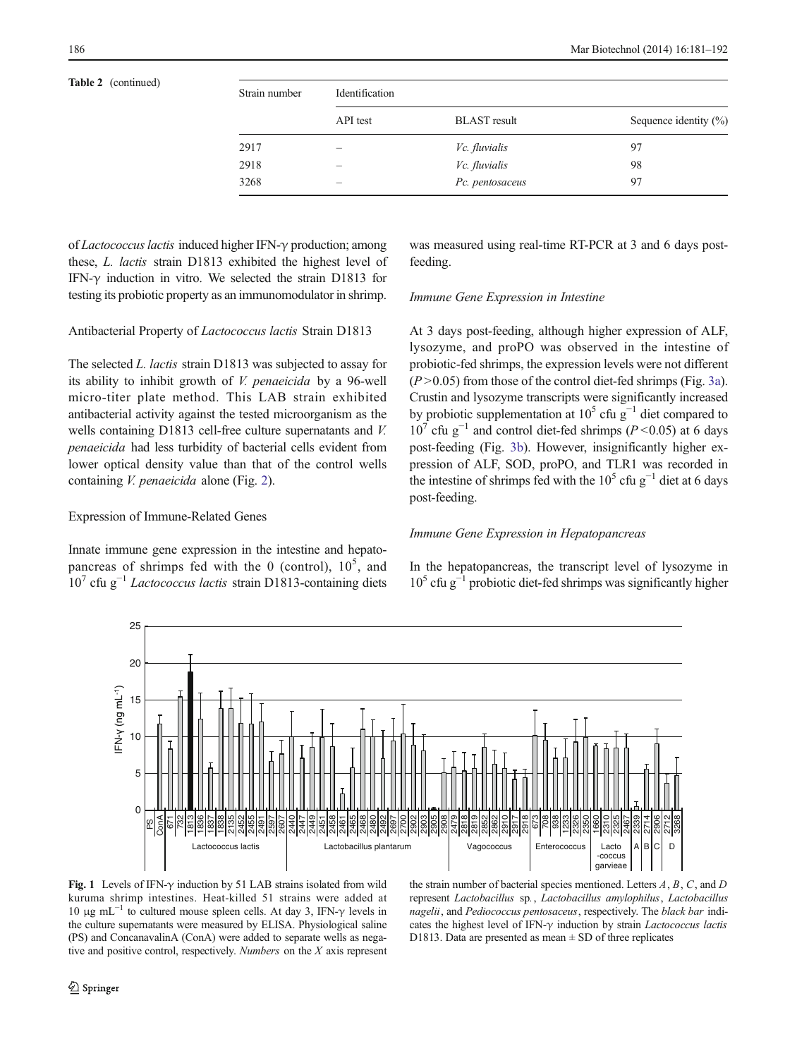## Table 2 (continued)

<span id="page-5-0"></span>

| 186 | Mar Biotechnol (2014) 16:181-192 |
|-----|----------------------------------|
|-----|----------------------------------|

| Strain number | Identification |                     |                          |  |
|---------------|----------------|---------------------|--------------------------|--|
|               | API test       | <b>BLAST</b> result | Sequence identity $(\%)$ |  |
| 2917          |                | Vc. fluvialis       | 97                       |  |
| 2918          | _              | Vc. fluvialis       | 98                       |  |
| 3268          | _              | Pc. pentosaceus     | 97                       |  |

of Lactococcus lactis induced higher IFN-γ production; among these, L. lactis strain D1813 exhibited the highest level of IFN-γ induction in vitro. We selected the strain D1813 for testing its probiotic property as an immunomodulator in shrimp.

was measured using real-time RT-PCR at 3 and 6 days postfeeding.

## Immune Gene Expression in Intestine

## Antibacterial Property of Lactococcus lactis Strain D1813

The selected L. lactis strain D1813 was subjected to assay for its ability to inhibit growth of V. penaeicida by a 96-well micro-titer plate method. This LAB strain exhibited antibacterial activity against the tested microorganism as the wells containing D1813 cell-free culture supernatants and V. penaeicida had less turbidity of bacterial cells evident from lower optical density value than that of the control wells containing V. penaeicida alone (Fig. [2](#page-6-0)).

# Expression of Immune-Related Genes

Innate immune gene expression in the intestine and hepatopancreas of shrimps fed with the 0 (control),  $10^5$ , and  $10^7$  cfu g<sup>-1</sup> Lactococcus lactis strain D1813-containing diets At 3 days post-feeding, although higher expression of ALF, lysozyme, and proPO was observed in the intestine of probiotic-fed shrimps, the expression levels were not different  $(P > 0.05)$  from those of the control diet-fed shrimps (Fig. [3a\)](#page-6-0). Crustin and lysozyme transcripts were significantly increased by probiotic supplementation at  $10^5$  cfu g<sup>-1</sup> diet compared to  $10^7$  cfu g<sup>-1</sup> and control diet-fed shrimps (P < 0.05) at 6 days post-feeding (Fig. [3b](#page-6-0)). However, insignificantly higher expression of ALF, SOD, proPO, and TLR1 was recorded in the intestine of shrimps fed with the  $10^5$  cfu g<sup>-1</sup> diet at 6 days post-feeding.

# Immune Gene Expression in Hepatopancreas

In the hepatopancreas, the transcript level of lysozyme in  $10^5$  cfu g<sup>-1</sup> probiotic diet-fed shrimps was significantly higher



Fig. 1 Levels of IFN- $\gamma$  induction by 51 LAB strains isolated from wild kuruma shrimp intestines. Heat-killed 51 strains were added at 10 μg mL<sup>-1</sup> to cultured mouse spleen cells. At day 3, IFN- $\gamma$  levels in the culture supernatants were measured by ELISA. Physiological saline (PS) and ConcanavalinA (ConA) were added to separate wells as negative and positive control, respectively. Numbers on the X axis represent

the strain number of bacterial species mentioned. Letters  $A, B, C$ , and  $D$ represent Lactobacillus sp., Lactobacillus amylophilus, Lactobacillus nagelii, and Pediococcus pentosaceus, respectively. The black bar indicates the highest level of IFN- $\gamma$  induction by strain *Lactococcus lactis* D1813. Data are presented as mean  $\pm$  SD of three replicates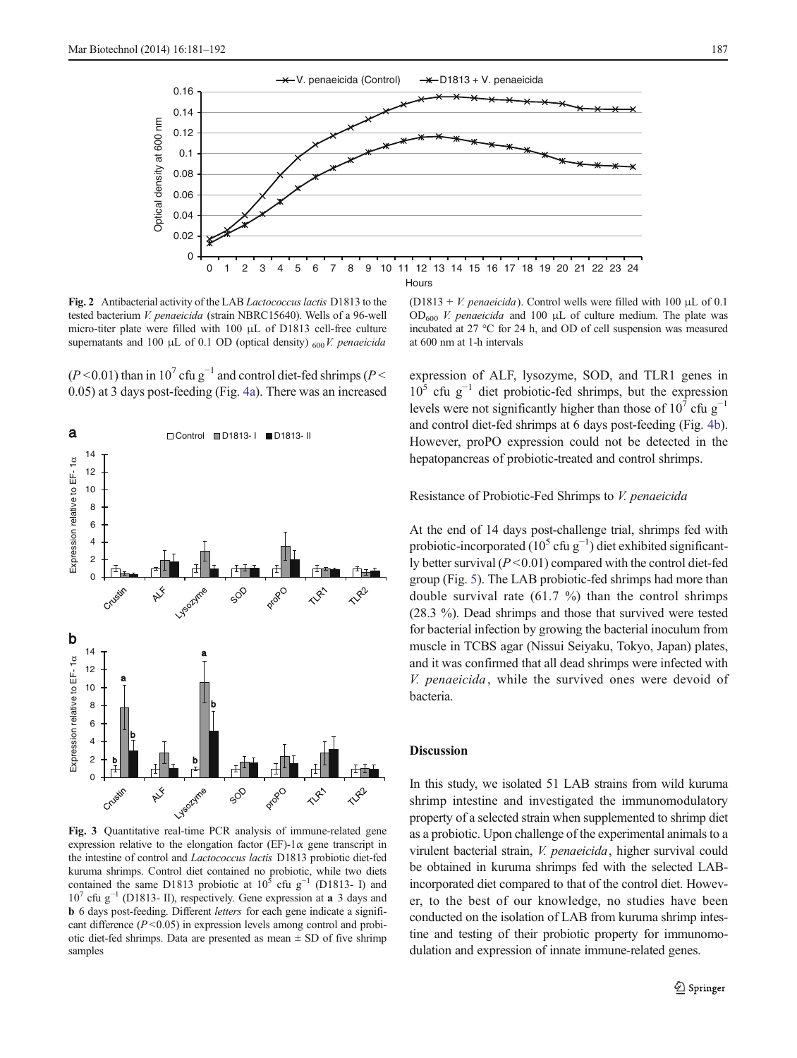<span id="page-6-0"></span>

Fig. 2 Antibacterial activity of the LAB Lactococcus lactis D1813 to the tested bacterium V. penaeicida (strain NBRC15640). Wells of a 96-well micro-titer plate were filled with 100 μL of D1813 cell-free culture supernatants and 100 μL of 0.1 OD (optical density)  $_{600}$  V. penaeicida

( $P$  < 0.01) than in 10<sup>7</sup> cfu g<sup>-1</sup> and control diet-fed shrimps ( $P$  < 0.05) at 3 days post-feeding (Fig. [4a\)](#page-7-0). There was an increased



Fig. 3 Quantitative real-time PCR analysis of immune-related gene expression relative to the elongation factor (EF)-1 $\alpha$  gene transcript in the intestine of control and Lactococcus lactis D1813 probiotic diet-fed kuruma shrimps. Control diet contained no probiotic, while two diets contained the same D1813 probiotic at  $10^5$  cfu g<sup>-1</sup> (D1813- I) and  $10<sup>7</sup>$  cfu g<sup>-1</sup> (D1813- II), respectively. Gene expression at **a** 3 days and b 6 days post-feeding. Different letters for each gene indicate a significant difference  $(P<0.05)$  in expression levels among control and probiotic diet-fed shrimps. Data are presented as mean  $\pm$  SD of five shrimp samples

(D1813 + V. penaeicida). Control wells were filled with 100  $\mu$ L of 0.1  $OD<sub>600</sub>$  *V. penaeicida* and 100 μL of culture medium. The plate was incubated at 27 °C for 24 h, and OD of cell suspension was measured at 600 nm at 1-h intervals

expression of ALF, lysozyme, SOD, and TLR1 genes in  $10^5$  cfu g<sup>-1</sup> diet probiotic-fed shrimps, but the expression levels were not significantly higher than those of  $10^7$  cfu g<sup>-1</sup> and control diet-fed shrimps at 6 days post-feeding (Fig. [4b\)](#page-7-0). However, proPO expression could not be detected in the hepatopancreas of probiotic-treated and control shrimps.

## Resistance of Probiotic-Fed Shrimps to V. penaeicida

At the end of 14 days post-challenge trial, shrimps fed with probiotic-incorporated ( $10^5$  cfu g<sup>-1</sup>) diet exhibited significantly better survival  $(P<0.01)$  compared with the control diet-fed group (Fig. [5\)](#page-7-0). The LAB probiotic-fed shrimps had more than double survival rate  $(61.7 \%)$  than the control shrimps (28.3 %). Dead shrimps and those that survived were tested for bacterial infection by growing the bacterial inoculum from muscle in TCBS agar (Nissui Seiyaku, Tokyo, Japan) plates, and it was confirmed that all dead shrimps were infected with V. penaeicida, while the survived ones were devoid of bacteria.

# Discussion

In this study, we isolated 51 LAB strains from wild kuruma shrimp intestine and investigated the immunomodulatory property of a selected strain when supplemented to shrimp diet as a probiotic. Upon challenge of the experimental animals to a virulent bacterial strain, V. penaeicida, higher survival could be obtained in kuruma shrimps fed with the selected LABincorporated diet compared to that of the control diet. However, to the best of our knowledge, no studies have been conducted on the isolation of LAB from kuruma shrimp intestine and testing of their probiotic property for immunomodulation and expression of innate immune-related genes.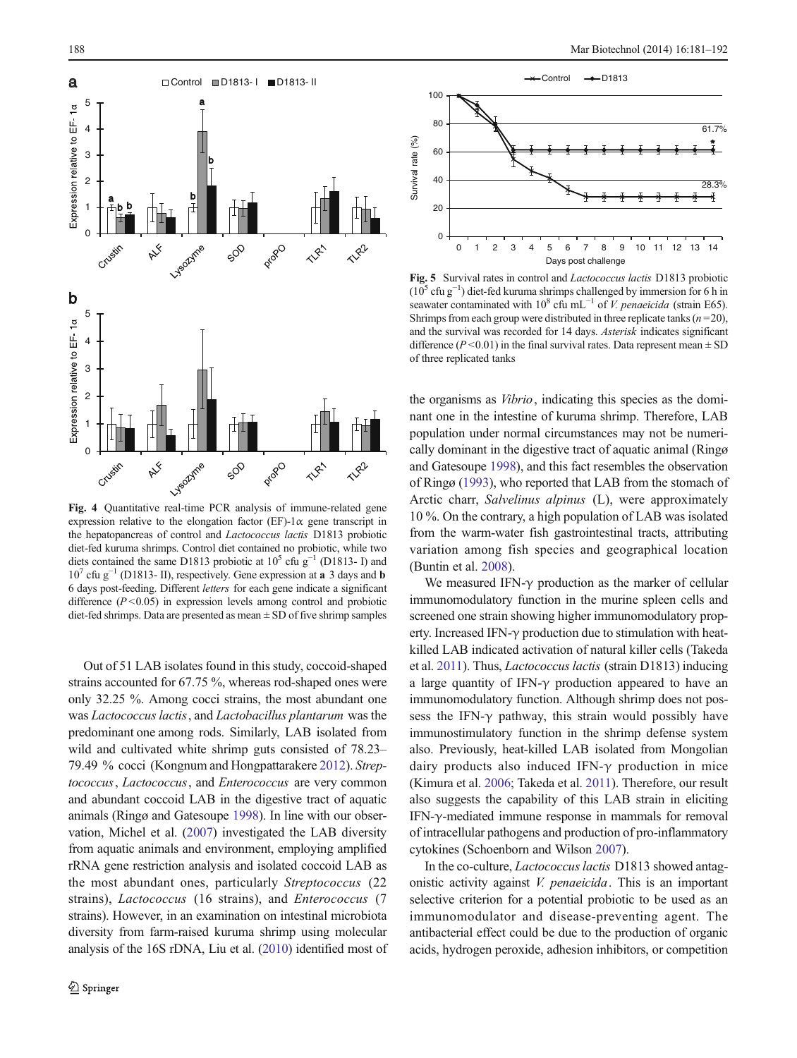<span id="page-7-0"></span>

expression relative to the elongation factor (EF)-1 $\alpha$  gene transcript in the hepatopancreas of control and Lactococcus lactis D1813 probiotic diet-fed kuruma shrimps. Control diet contained no probiotic, while two diets contained the same D1813 probiotic at  $10^5$  cfu g<sup>-1</sup> (D1813- I) and  $10^7$  cfu g<sup>-1</sup> (D1813- II), respectively. Gene expression at **a** 3 days and **b** 6 days post-feeding. Different letters for each gene indicate a significant difference  $(P<0.05)$  in expression levels among control and probiotic diet-fed shrimps. Data are presented as mean  $\pm$  SD of five shrimp samples

Out of 51 LAB isolates found in this study, coccoid-shaped strains accounted for 67.75 %, whereas rod-shaped ones were only 32.25 %. Among cocci strains, the most abundant one was Lactococcus lactis, and Lactobacillus plantarum was the predominant one among rods. Similarly, LAB isolated from wild and cultivated white shrimp guts consisted of 78.23– 79.49 % cocci (Kongnum and Hongpattarakere [2012](#page-10-0)). Streptococcus, Lactococcus, and Enterococcus are very common and abundant coccoid LAB in the digestive tract of aquatic animals (Ringø and Gatesoupe [1998](#page-11-0)). In line with our observation, Michel et al. ([2007](#page-10-0)) investigated the LAB diversity from aquatic animals and environment, employing amplified rRNA gene restriction analysis and isolated coccoid LAB as the most abundant ones, particularly Streptococcus (22 strains), Lactococcus (16 strains), and Enterococcus (7 strains). However, in an examination on intestinal microbiota diversity from farm-raised kuruma shrimp using molecular analysis of the 16S rDNA, Liu et al. [\(2010](#page-10-0)) identified most of



Fig. 5 Survival rates in control and Lactococcus lactis D1813 probiotic ( $10^5$  cfu g<sup>-1</sup>) diet-fed kuruma shrimps challenged by immersion for 6 h in seawater contaminated with  $10^8$  cfu mL<sup>-1</sup> of *V. penaeicida* (strain E65). Shrimps from each group were distributed in three replicate tanks ( $n = 20$ ), and the survival was recorded for 14 days. Asterisk indicates significant difference ( $P < 0.01$ ) in the final survival rates. Data represent mean  $\pm$  SD of three replicated tanks

the organisms as Vibrio, indicating this species as the dominant one in the intestine of kuruma shrimp. Therefore, LAB population under normal circumstances may not be numerically dominant in the digestive tract of aquatic animal (Ringø and Gatesoupe [1998\)](#page-11-0), and this fact resembles the observation of Ringø [\(1993\)](#page-11-0), who reported that LAB from the stomach of Arctic charr, Salvelinus alpinus (L), were approximately 10 %. On the contrary, a high population of LAB was isolated from the warm-water fish gastrointestinal tracts, attributing variation among fish species and geographical location (Buntin et al. [2008\)](#page-10-0).

We measured IFN- $\gamma$  production as the marker of cellular immunomodulatory function in the murine spleen cells and screened one strain showing higher immunomodulatory property. Increased IFN- $\gamma$  production due to stimulation with heatkilled LAB indicated activation of natural killer cells (Takeda et al. [2011\)](#page-11-0). Thus, Lactococcus lactis (strain D1813) inducing a large quantity of IFN- $\gamma$  production appeared to have an immunomodulatory function. Although shrimp does not possess the IFN- $\gamma$  pathway, this strain would possibly have immunostimulatory function in the shrimp defense system also. Previously, heat-killed LAB isolated from Mongolian dairy products also induced IFN-γ production in mice (Kimura et al. [2006;](#page-10-0) Takeda et al. [2011](#page-11-0)). Therefore, our result also suggests the capability of this LAB strain in eliciting IFN-γ-mediated immune response in mammals for removal of intracellular pathogens and production of pro-inflammatory cytokines (Schoenborn and Wilson [2007\)](#page-11-0).

In the co-culture, Lactococcus lactis D1813 showed antagonistic activity against V. penaeicida. This is an important selective criterion for a potential probiotic to be used as an immunomodulator and disease-preventing agent. The antibacterial effect could be due to the production of organic acids, hydrogen peroxide, adhesion inhibitors, or competition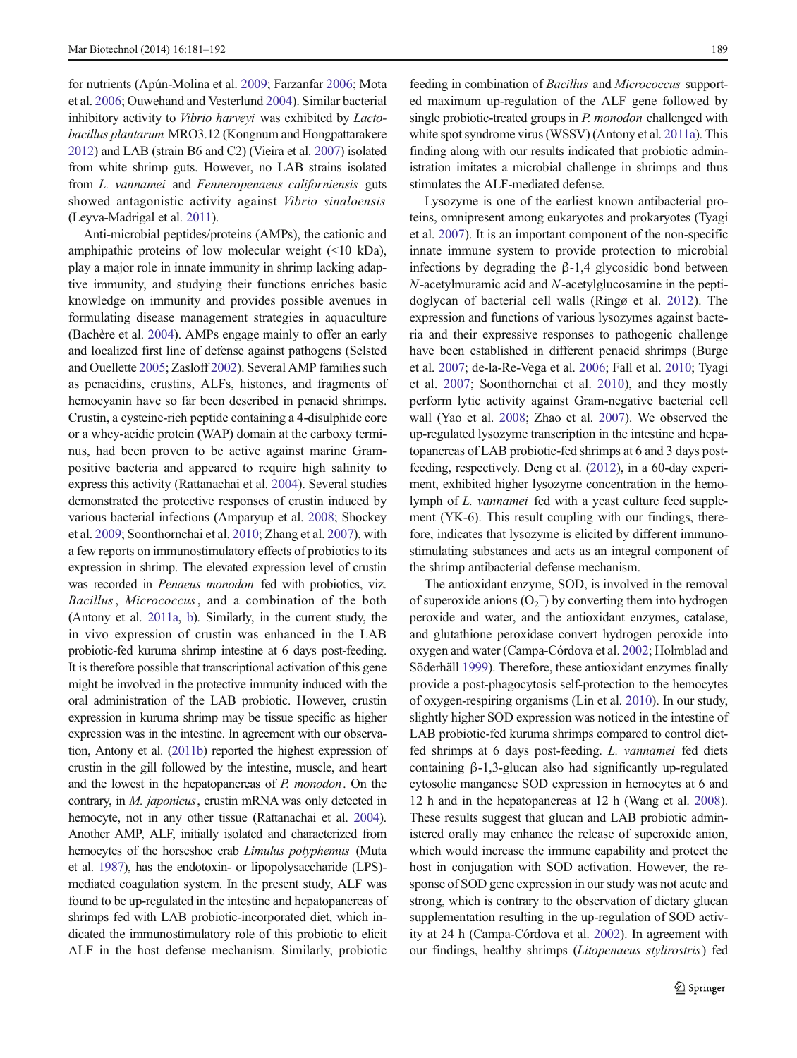for nutrients (Apún-Molina et al. [2009;](#page-9-0) Farzanfar [2006;](#page-10-0) Mota et al. [2006;](#page-10-0) Ouwehand and Vesterlund [2004](#page-10-0)). Similar bacterial inhibitory activity to Vibrio harveyi was exhibited by Lactobacillus plantarum MRO3.12 (Kongnum and Hongpattarakere [2012](#page-10-0)) and LAB (strain B6 and C2) (Vieira et al. [2007](#page-11-0)) isolated from white shrimp guts. However, no LAB strains isolated from L. vannamei and Fenneropenaeus californiensis guts showed antagonistic activity against Vibrio sinaloensis (Leyva-Madrigal et al. [2011](#page-10-0)).

Anti-microbial peptides/proteins (AMPs), the cationic and amphipathic proteins of low molecular weight (<10 kDa), play a major role in innate immunity in shrimp lacking adaptive immunity, and studying their functions enriches basic knowledge on immunity and provides possible avenues in formulating disease management strategies in aquaculture (Bachère et al. [2004](#page-10-0)). AMPs engage mainly to offer an early and localized first line of defense against pathogens (Selsted and Ouellette [2005;](#page-11-0) Zasloff [2002](#page-11-0)). Several AMP families such as penaeidins, crustins, ALFs, histones, and fragments of hemocyanin have so far been described in penaeid shrimps. Crustin, a cysteine-rich peptide containing a 4-disulphide core or a whey-acidic protein (WAP) domain at the carboxy terminus, had been proven to be active against marine Grampositive bacteria and appeared to require high salinity to express this activity (Rattanachai et al. [2004\)](#page-11-0). Several studies demonstrated the protective responses of crustin induced by various bacterial infections (Amparyup et al. [2008;](#page-9-0) Shockey et al. [2009;](#page-11-0) Soonthornchai et al. [2010](#page-11-0); Zhang et al. [2007](#page-11-0)), with a few reports on immunostimulatory effects of probiotics to its expression in shrimp. The elevated expression level of crustin was recorded in Penaeus monodon fed with probiotics, viz. Bacillus, Micrococcus, and a combination of the both (Antony et al. [2011a](#page-9-0), [b](#page-9-0)). Similarly, in the current study, the in vivo expression of crustin was enhanced in the LAB probiotic-fed kuruma shrimp intestine at 6 days post-feeding. It is therefore possible that transcriptional activation of this gene might be involved in the protective immunity induced with the oral administration of the LAB probiotic. However, crustin expression in kuruma shrimp may be tissue specific as higher expression was in the intestine. In agreement with our observation, Antony et al. [\(2011b\)](#page-9-0) reported the highest expression of crustin in the gill followed by the intestine, muscle, and heart and the lowest in the hepatopancreas of P. monodon. On the contrary, in M. japonicus, crustin mRNA was only detected in hemocyte, not in any other tissue (Rattanachai et al. [2004\)](#page-11-0). Another AMP, ALF, initially isolated and characterized from hemocytes of the horseshoe crab Limulus polyphemus (Muta et al. [1987\)](#page-10-0), has the endotoxin- or lipopolysaccharide (LPS) mediated coagulation system. In the present study, ALF was found to be up-regulated in the intestine and hepatopancreas of shrimps fed with LAB probiotic-incorporated diet, which indicated the immunostimulatory role of this probiotic to elicit ALF in the host defense mechanism. Similarly, probiotic

feeding in combination of Bacillus and Micrococcus supported maximum up-regulation of the ALF gene followed by single probiotic-treated groups in *P. monodon* challenged with white spot syndrome virus (WSSV) (Antony et al. [2011a\)](#page-9-0). This finding along with our results indicated that probiotic administration imitates a microbial challenge in shrimps and thus stimulates the ALF-mediated defense.

Lysozyme is one of the earliest known antibacterial proteins, omnipresent among eukaryotes and prokaryotes (Tyagi et al. [2007](#page-11-0)). It is an important component of the non-specific innate immune system to provide protection to microbial infections by degrading the  $β-1,4$  glycosidic bond between N-acetylmuramic acid and N-acetylglucosamine in the peptidoglycan of bacterial cell walls (Ringø et al. [2012\)](#page-11-0). The expression and functions of various lysozymes against bacteria and their expressive responses to pathogenic challenge have been established in different penaeid shrimps (Burge et al. [2007](#page-10-0); de-la-Re-Vega et al. [2006;](#page-10-0) Fall et al. [2010;](#page-10-0) Tyagi et al. [2007;](#page-11-0) Soonthornchai et al. [2010\)](#page-11-0), and they mostly perform lytic activity against Gram-negative bacterial cell wall (Yao et al. [2008;](#page-11-0) Zhao et al. [2007](#page-11-0)). We observed the up-regulated lysozyme transcription in the intestine and hepatopancreas of LAB probiotic-fed shrimps at 6 and 3 days postfeeding, respectively. Deng et al. [\(2012\)](#page-10-0), in a 60-day experiment, exhibited higher lysozyme concentration in the hemolymph of L. vannamei fed with a yeast culture feed supplement (YK-6). This result coupling with our findings, therefore, indicates that lysozyme is elicited by different immunostimulating substances and acts as an integral component of the shrimp antibacterial defense mechanism.

The antioxidant enzyme, SOD, is involved in the removal of superoxide anions  $(O_2^-)$  by converting them into hydrogen peroxide and water, and the antioxidant enzymes, catalase, and glutathione peroxidase convert hydrogen peroxide into oxygen and water (Campa-Córdova et al. [2002;](#page-10-0) Holmblad and Söderhäll [1999\)](#page-10-0). Therefore, these antioxidant enzymes finally provide a post-phagocytosis self-protection to the hemocytes of oxygen-respiring organisms (Lin et al. [2010](#page-10-0)). In our study, slightly higher SOD expression was noticed in the intestine of LAB probiotic-fed kuruma shrimps compared to control dietfed shrimps at 6 days post-feeding. L. vannamei fed diets containing β-1,3-glucan also had significantly up-regulated cytosolic manganese SOD expression in hemocytes at 6 and 12 h and in the hepatopancreas at 12 h (Wang et al. [2008\)](#page-11-0). These results suggest that glucan and LAB probiotic administered orally may enhance the release of superoxide anion, which would increase the immune capability and protect the host in conjugation with SOD activation. However, the response of SOD gene expression in our study was not acute and strong, which is contrary to the observation of dietary glucan supplementation resulting in the up-regulation of SOD activity at 24 h (Campa-Córdova et al. [2002\)](#page-10-0). In agreement with our findings, healthy shrimps (Litopenaeus stylirostris) fed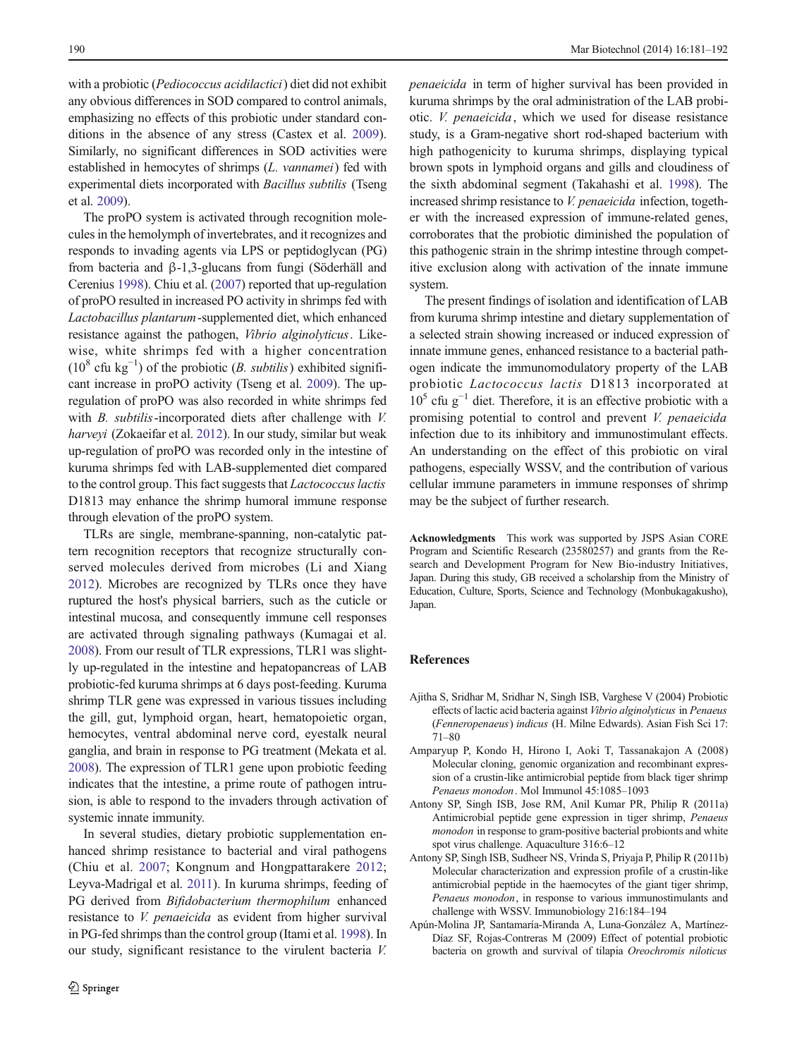<span id="page-9-0"></span>with a probiotic (Pediococcus acidilactici) diet did not exhibit any obvious differences in SOD compared to control animals, emphasizing no effects of this probiotic under standard conditions in the absence of any stress (Castex et al. [2009](#page-10-0)). Similarly, no significant differences in SOD activities were established in hemocytes of shrimps (L. vannamei) fed with experimental diets incorporated with Bacillus subtilis (Tseng et al. [2009](#page-11-0)).

The proPO system is activated through recognition molecules in the hemolymph of invertebrates, and it recognizes and responds to invading agents via LPS or peptidoglycan (PG) from bacteria and β-1,3-glucans from fungi (Söderhäll and Cerenius [1998](#page-11-0)). Chiu et al. ([2007](#page-10-0)) reported that up-regulation of proPO resulted in increased PO activity in shrimps fed with Lactobacillus plantarum-supplemented diet, which enhanced resistance against the pathogen, Vibrio alginolyticus. Likewise, white shrimps fed with a higher concentration ( $10^8$  cfu kg<sup>-1</sup>) of the probiotic (*B. subtilis*) exhibited significant increase in proPO activity (Tseng et al. [2009\)](#page-11-0). The upregulation of proPO was also recorded in white shrimps fed with *B. subtilis*-incorporated diets after challenge with *V*. harveyi (Zokaeifar et al. [2012\)](#page-11-0). In our study, similar but weak up-regulation of proPO was recorded only in the intestine of kuruma shrimps fed with LAB-supplemented diet compared to the control group. This fact suggests that Lactococcus lactis D1813 may enhance the shrimp humoral immune response through elevation of the proPO system.

TLRs are single, membrane-spanning, non-catalytic pattern recognition receptors that recognize structurally conserved molecules derived from microbes (Li and Xiang [2012\)](#page-10-0). Microbes are recognized by TLRs once they have ruptured the host's physical barriers, such as the cuticle or intestinal mucosa, and consequently immune cell responses are activated through signaling pathways (Kumagai et al. [2008\)](#page-10-0). From our result of TLR expressions, TLR1 was slightly up-regulated in the intestine and hepatopancreas of LAB probiotic-fed kuruma shrimps at 6 days post-feeding. Kuruma shrimp TLR gene was expressed in various tissues including the gill, gut, lymphoid organ, heart, hematopoietic organ, hemocytes, ventral abdominal nerve cord, eyestalk neural ganglia, and brain in response to PG treatment (Mekata et al. [2008\)](#page-10-0). The expression of TLR1 gene upon probiotic feeding indicates that the intestine, a prime route of pathogen intrusion, is able to respond to the invaders through activation of systemic innate immunity.

In several studies, dietary probiotic supplementation enhanced shrimp resistance to bacterial and viral pathogens (Chiu et al. [2007](#page-10-0); Kongnum and Hongpattarakere [2012](#page-10-0); Leyva-Madrigal et al. [2011](#page-10-0)). In kuruma shrimps, feeding of PG derived from Bifidobacterium thermophilum enhanced resistance to V. penaeicida as evident from higher survival in PG-fed shrimps than the control group (Itami et al. [1998\)](#page-10-0). In our study, significant resistance to the virulent bacteria V.

penaeicida in term of higher survival has been provided in kuruma shrimps by the oral administration of the LAB probiotic. V. penaeicida, which we used for disease resistance study, is a Gram-negative short rod-shaped bacterium with high pathogenicity to kuruma shrimps, displaying typical brown spots in lymphoid organs and gills and cloudiness of the sixth abdominal segment (Takahashi et al. [1998](#page-11-0)). The increased shrimp resistance to V. penaeicida infection, together with the increased expression of immune-related genes, corroborates that the probiotic diminished the population of this pathogenic strain in the shrimp intestine through competitive exclusion along with activation of the innate immune system.

The present findings of isolation and identification of LAB from kuruma shrimp intestine and dietary supplementation of a selected strain showing increased or induced expression of innate immune genes, enhanced resistance to a bacterial pathogen indicate the immunomodulatory property of the LAB probiotic Lactococcus lactis D1813 incorporated at  $10<sup>5</sup>$  cfu g<sup>-1</sup> diet. Therefore, it is an effective probiotic with a promising potential to control and prevent V. penaeicida infection due to its inhibitory and immunostimulant effects. An understanding on the effect of this probiotic on viral pathogens, especially WSSV, and the contribution of various cellular immune parameters in immune responses of shrimp may be the subject of further research.

Acknowledgments This work was supported by JSPS Asian CORE Program and Scientific Research (23580257) and grants from the Research and Development Program for New Bio-industry Initiatives, Japan. During this study, GB received a scholarship from the Ministry of Education, Culture, Sports, Science and Technology (Monbukagakusho), Japan.

## References

- Ajitha S, Sridhar M, Sridhar N, Singh ISB, Varghese V (2004) Probiotic effects of lactic acid bacteria against Vibrio alginolyticus in Penaeus (Fenneropenaeus) indicus (H. Milne Edwards). Asian Fish Sci 17: 71–80
- Amparyup P, Kondo H, Hirono I, Aoki T, Tassanakajon A (2008) Molecular cloning, genomic organization and recombinant expression of a crustin-like antimicrobial peptide from black tiger shrimp Penaeus monodon. Mol Immunol 45:1085–1093
- Antony SP, Singh ISB, Jose RM, Anil Kumar PR, Philip R (2011a) Antimicrobial peptide gene expression in tiger shrimp, Penaeus monodon in response to gram-positive bacterial probionts and white spot virus challenge. Aquaculture 316:6–12
- Antony SP, Singh ISB, Sudheer NS, Vrinda S, Priyaja P, Philip R (2011b) Molecular characterization and expression profile of a crustin-like antimicrobial peptide in the haemocytes of the giant tiger shrimp, Penaeus monodon, in response to various immunostimulants and challenge with WSSV. Immunobiology 216:184–194
- Apún-Molina JP, Santamaría-Miranda A, Luna-González A, Martínez-Díaz SF, Rojas-Contreras M (2009) Effect of potential probiotic bacteria on growth and survival of tilapia Oreochromis niloticus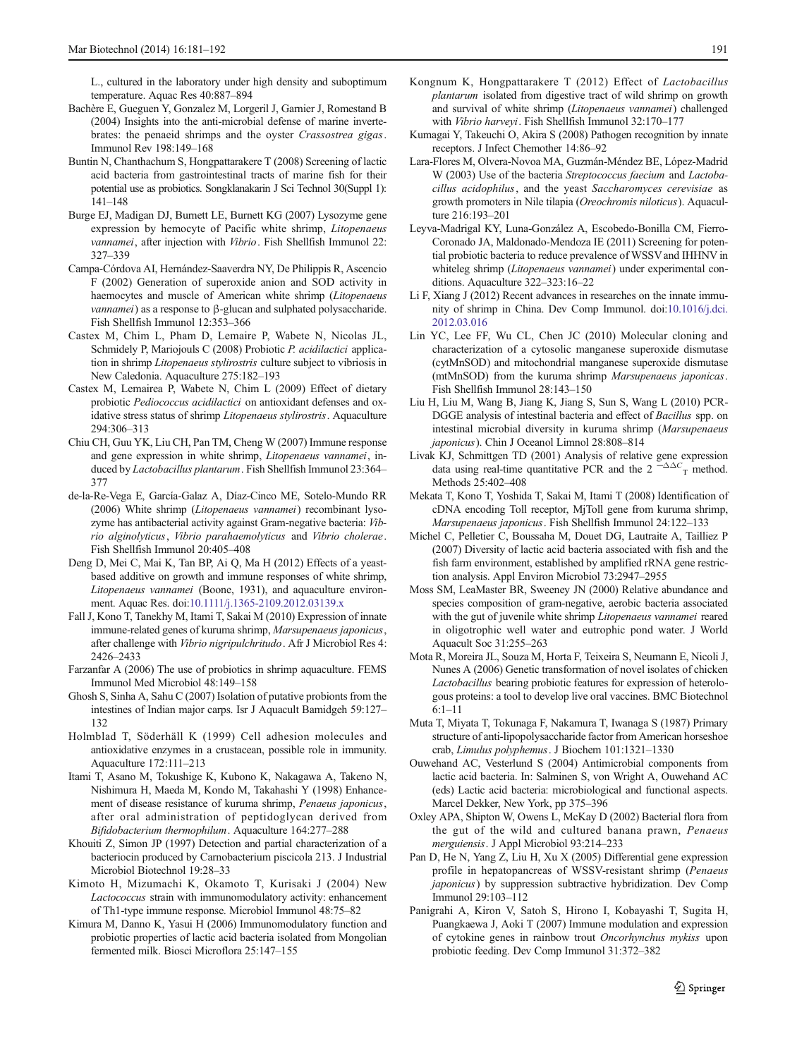- <span id="page-10-0"></span>Bachère E, Gueguen Y, Gonzalez M, Lorgeril J, Garnier J, Romestand B (2004) Insights into the anti-microbial defense of marine invertebrates: the penaeid shrimps and the oyster Crassostrea gigas. Immunol Rev 198:149–168
- Buntin N, Chanthachum S, Hongpattarakere T (2008) Screening of lactic acid bacteria from gastrointestinal tracts of marine fish for their potential use as probiotics. Songklanakarin J Sci Technol 30(Suppl 1): 141–148
- Burge EJ, Madigan DJ, Burnett LE, Burnett KG (2007) Lysozyme gene expression by hemocyte of Pacific white shrimp, Litopenaeus vannamei, after injection with Vibrio. Fish Shellfish Immunol 22: 327–339
- Campa-Córdova AI, Hernández-Saaverdra NY, De Philippis R, Ascencio F (2002) Generation of superoxide anion and SOD activity in haemocytes and muscle of American white shrimp (Litopenaeus vannamei) as a response to β-glucan and sulphated polysaccharide. Fish Shellfish Immunol 12:353–366
- Castex M, Chim L, Pham D, Lemaire P, Wabete N, Nicolas JL, Schmidely P, Mariojouls C (2008) Probiotic P. acidilactici application in shrimp Litopenaeus stylirostris culture subject to vibriosis in New Caledonia. Aquaculture 275:182–193
- Castex M, Lemairea P, Wabete N, Chim L (2009) Effect of dietary probiotic Pediococcus acidilactici on antioxidant defenses and oxidative stress status of shrimp Litopenaeus stylirostris. Aquaculture 294:306–313
- Chiu CH, Guu YK, Liu CH, Pan TM, Cheng W (2007) Immune response and gene expression in white shrimp, Litopenaeus vannamei, induced by Lactobacillus plantarum. Fish Shellfish Immunol 23:364– 377
- de-la-Re-Vega E, García-Galaz A, Díaz-Cinco ME, Sotelo-Mundo RR (2006) White shrimp (Litopenaeus vannamei) recombinant lysozyme has antibacterial activity against Gram-negative bacteria: Vibrio alginolyticus, Vibrio parahaemolyticus and Vibrio cholerae. Fish Shellfish Immunol 20:405–408
- Deng D, Mei C, Mai K, Tan BP, Ai Q, Ma H (2012) Effects of a yeastbased additive on growth and immune responses of white shrimp, Litopenaeus vannamei (Boone, 1931), and aquaculture environment. Aquac Res. doi:[10.1111/j.1365-2109.2012.03139.x](http://dx.doi.org/10.1111/j.1365-2109.2012.03139.x)
- Fall J, Kono T, Tanekhy M, Itami T, Sakai M (2010) Expression of innate immune-related genes of kuruma shrimp, Marsupenaeus japonicus, after challenge with Vibrio nigripulchritudo. Afr J Microbiol Res 4: 2426–2433
- Farzanfar A (2006) The use of probiotics in shrimp aquaculture. FEMS Immunol Med Microbiol 48:149–158
- Ghosh S, Sinha A, Sahu C (2007) Isolation of putative probionts from the intestines of Indian major carps. Isr J Aquacult Bamidgeh 59:127– 132
- Holmblad T, Söderhäll K (1999) Cell adhesion molecules and antioxidative enzymes in a crustacean, possible role in immunity. Aquaculture 172:111–213
- Itami T, Asano M, Tokushige K, Kubono K, Nakagawa A, Takeno N, Nishimura H, Maeda M, Kondo M, Takahashi Y (1998) Enhancement of disease resistance of kuruma shrimp, Penaeus japonicus, after oral administration of peptidoglycan derived from Bifidobacterium thermophilum. Aquaculture 164:277–288
- Khouiti Z, Simon JP (1997) Detection and partial characterization of a bacteriocin produced by Carnobacterium piscicola 213. J Industrial Microbiol Biotechnol 19:28–33
- Kimoto H, Mizumachi K, Okamoto T, Kurisaki J (2004) New Lactococcus strain with immunomodulatory activity: enhancement of Th1-type immune response. Microbiol Immunol 48:75–82
- Kimura M, Danno K, Yasui H (2006) Immunomodulatory function and probiotic properties of lactic acid bacteria isolated from Mongolian fermented milk. Biosci Microflora 25:147–155
- Kongnum K, Hongpattarakere T (2012) Effect of Lactobacillus plantarum isolated from digestive tract of wild shrimp on growth and survival of white shrimp (Litopenaeus vannamei) challenged with Vibrio harveyi. Fish Shellfish Immunol 32:170–177
- Kumagai Y, Takeuchi O, Akira S (2008) Pathogen recognition by innate receptors. J Infect Chemother 14:86-92
- Lara-Flores M, Olvera-Novoa MA, Guzmán-Méndez BE, López-Madrid W (2003) Use of the bacteria Streptococcus faecium and Lactobacillus acidophilus, and the yeast Saccharomyces cerevisiae as growth promoters in Nile tilapia (Oreochromis niloticus). Aquaculture 216:193–201
- Leyva-Madrigal KY, Luna-González A, Escobedo-Bonilla CM, Fierro-Coronado JA, Maldonado-Mendoza IE (2011) Screening for potential probiotic bacteria to reduce prevalence of WSSVand IHHNV in whiteleg shrimp (Litopenaeus vannamei) under experimental conditions. Aquaculture 322–323:16–22
- Li F, Xiang J (2012) Recent advances in researches on the innate immunity of shrimp in China. Dev Comp Immunol. doi[:10.1016/j.dci.](http://dx.doi.org/10.1016/j.dci.2012.03.016) [2012.03.016](http://dx.doi.org/10.1016/j.dci.2012.03.016)
- Lin YC, Lee FF, Wu CL, Chen JC (2010) Molecular cloning and characterization of a cytosolic manganese superoxide dismutase (cytMnSOD) and mitochondrial manganese superoxide dismutase (mtMnSOD) from the kuruma shrimp Marsupenaeus japonicas. Fish Shellfish Immunol 28:143–150
- Liu H, Liu M, Wang B, Jiang K, Jiang S, Sun S, Wang L (2010) PCR-DGGE analysis of intestinal bacteria and effect of Bacillus spp. on intestinal microbial diversity in kuruma shrimp (Marsupenaeus japonicus). Chin J Oceanol Limnol 28:808–814
- Livak KJ, Schmittgen TD (2001) Analysis of relative gene expression data using real-time quantitative PCR and the  $2 \frac{-\Delta \Delta C}{T}$  method. Methods 25:402–408
- Mekata T, Kono T, Yoshida T, Sakai M, Itami T (2008) Identification of cDNA encoding Toll receptor, MjToll gene from kuruma shrimp, Marsupenaeus japonicus. Fish Shellfish Immunol 24:122–133
- Michel C, Pelletier C, Boussaha M, Douet DG, Lautraite A, Tailliez P (2007) Diversity of lactic acid bacteria associated with fish and the fish farm environment, established by amplified rRNA gene restriction analysis. Appl Environ Microbiol 73:2947–2955
- Moss SM, LeaMaster BR, Sweeney JN (2000) Relative abundance and species composition of gram-negative, aerobic bacteria associated with the gut of juvenile white shrimp Litopenaeus vannamei reared in oligotrophic well water and eutrophic pond water. J World Aquacult Soc 31:255–263
- Mota R, Moreira JL, Souza M, Horta F, Teixeira S, Neumann E, Nicoli J, Nunes A (2006) Genetic transformation of novel isolates of chicken Lactobacillus bearing probiotic features for expression of heterologous proteins: a tool to develop live oral vaccines. BMC Biotechnol 6:1–11
- Muta T, Miyata T, Tokunaga F, Nakamura T, Iwanaga S (1987) Primary structure of anti-lipopolysaccharide factor from American horseshoe crab, Limulus polyphemus. J Biochem 101:1321–1330
- Ouwehand AC, Vesterlund S (2004) Antimicrobial components from lactic acid bacteria. In: Salminen S, von Wright A, Ouwehand AC (eds) Lactic acid bacteria: microbiological and functional aspects. Marcel Dekker, New York, pp 375–396
- Oxley APA, Shipton W, Owens L, McKay D (2002) Bacterial flora from the gut of the wild and cultured banana prawn, Penaeus merguiensis. J Appl Microbiol 93:214–233
- Pan D, He N, Yang Z, Liu H, Xu X (2005) Differential gene expression profile in hepatopancreas of WSSV-resistant shrimp (Penaeus japonicus) by suppression subtractive hybridization. Dev Comp Immunol 29:103–112
- Panigrahi A, Kiron V, Satoh S, Hirono I, Kobayashi T, Sugita H, Puangkaewa J, Aoki T (2007) Immune modulation and expression of cytokine genes in rainbow trout Oncorhynchus mykiss upon probiotic feeding. Dev Comp Immunol 31:372–382